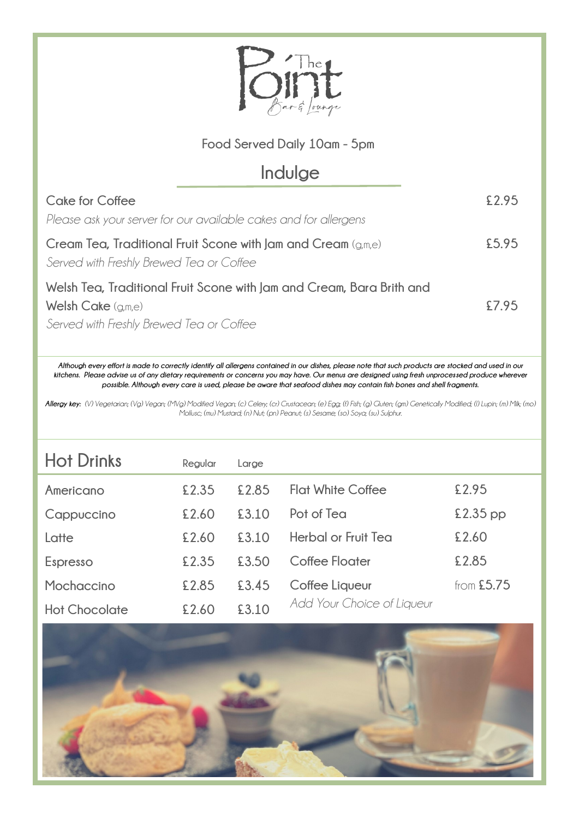

## **Food Served Daily 10am - 5pm**

## **Indulge**

| <b>Cake for Coffee</b>                                                | £2.95 |
|-----------------------------------------------------------------------|-------|
| Please ask your server for our available cakes and for allergens      |       |
| Cream Tea, Traditional Fruit Scone with Jam and Cream $(q_m,e)$       | £5.95 |
| Served with Freshly Brewed Tea or Coffee                              |       |
| Welsh Tea, Traditional Fruit Scone with Jam and Cream, Bara Brith and |       |
| Welsh Cake $(g,m,e)$                                                  | £7.95 |
| Served with Freshly Brewed Tea or Coffee                              |       |

*Although every effort is made to correctly identify all allergens contained in our dishes, please note that such products are stocked and used in our kitchens. Please advise us of any dietary requirements or concerns you may have. Our menus are designed using fresh unprocessed produce wherever possible. Although every care is used, please be aware that seafood dishes may contain fish bones and shell fragments.*

*Allergy key: (V) Vegetarian; (Vg) Vegan; (MVg) Modified Vegan; (c) Celery; (cr) Crustacean; (e) Egg; (f) Fish; (g) Gluten; (gm) Genetically Modified; (l) Lupin; (m) Milk; (mo) Mollusc; (mu) Mustard; (n) Nut; (pn) Peanut; (s) Sesame; (so) Soya; (su) Sulphur.*

| <b>Hot Drinks</b>    | Regular | Large |                            |              |
|----------------------|---------|-------|----------------------------|--------------|
| Americano            | £2.35   | £2.85 | <b>Flat White Coffee</b>   | £2.95        |
| Cappuccino           | £2.60   | £3.10 | Pot of Tea                 | $£2.35$ pp   |
| Latte                | £2.60   | £3.10 | Herbal or Fruit Tea        | £2.60        |
| Espresso             | £2.35   | £3.50 | Coffee Floater             | £2.85        |
| Mochaccino           | £2.85   | £3.45 | Coffee Liqueur             | from $£5.75$ |
| <b>Hot Chocolate</b> | £2.60   | £3.10 | Add Your Choice of Liqueur |              |

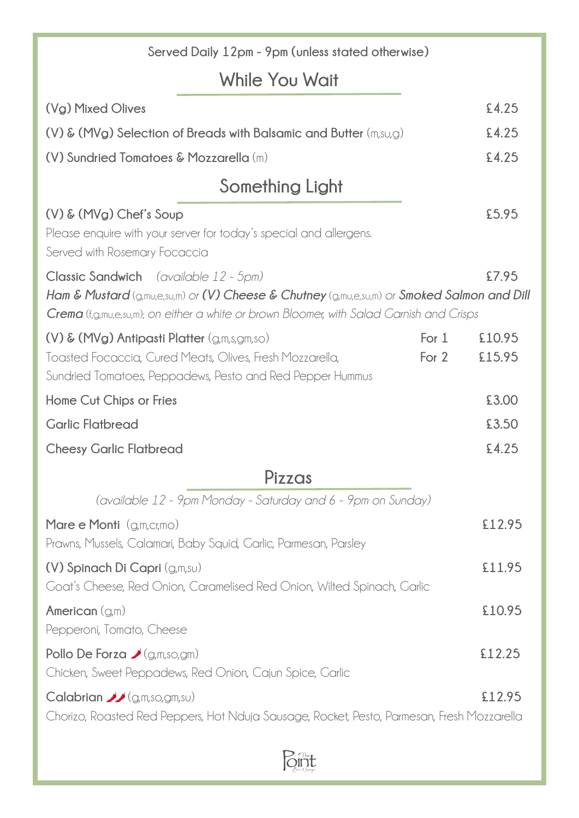| Served Daily 12pm - 9pm (unless stated otherwise)                                                                                                                                                                                       |                  |                  |
|-----------------------------------------------------------------------------------------------------------------------------------------------------------------------------------------------------------------------------------------|------------------|------------------|
| While You Wait                                                                                                                                                                                                                          |                  |                  |
| (Vg) Mixed Olives                                                                                                                                                                                                                       |                  | £4.25            |
| $(V)$ & $(MVg)$ Selection of Breads with Balsamic and Butter $(m,su, g)$                                                                                                                                                                |                  | £4.25            |
| (V) Sundried Tomatoes & Mozzarella (m)                                                                                                                                                                                                  |                  | £4.25            |
| Something Light                                                                                                                                                                                                                         |                  |                  |
| $(V)$ & $(MVg)$ Chef's Soup<br>Please enquire with your server for today's special and allergens.<br>Served with Rosemary Focaccia                                                                                                      |                  | £5.95            |
| Classic Sandwich (available 12 - 5pm)<br>Ham & Mustard (g,mu,e,su,m) or (V) Cheese & Chutney (g,mu,e,su,m) or Smoked Salmon and Dill<br><b>Crema</b> (f,g,mu,e,su,m); on either a white or brown Bloomer, with Salad Garnish and Crisps |                  | £7.95            |
| $(V)$ & $(MVg)$ Antipasti Platter $(g,m,s,gm,so)$<br>Toasted Focaccia, Cured Meats, Olives, Fresh Mozzarella,<br>Sundried Tomatoes, Peppadews, Pesto and Red Pepper Hummus                                                              | For $1$<br>For 2 | £10.95<br>£15.95 |
| Home Cut Chips or Fries                                                                                                                                                                                                                 |                  | £3.00            |
| <b>Garlic Flatbread</b>                                                                                                                                                                                                                 |                  | £3.50            |
| <b>Cheesy Garlic Flatbread</b>                                                                                                                                                                                                          |                  | £4.25            |
| Pizzas                                                                                                                                                                                                                                  |                  |                  |
| (available 12 - 9pm Monday - Saturday and 6 - 9pm on Sunday)                                                                                                                                                                            |                  |                  |
| Mare e Monti $(g,m,cr,mo)$<br>Prawns, Mussels, Calamari, Baby Squid, Garlic, Parmesan, Parsley                                                                                                                                          |                  | £12.95           |
| (V) Spinach Di Capri (g,m,su)<br>Goat's Cheese, Red Onion, Caramelised Red Onion, Wilted Spinach, Garlic                                                                                                                                |                  | £11.95           |
| American $(g,m)$<br>Pepperoni, Tomato, Cheese                                                                                                                                                                                           |                  | £10.95           |
| Pollo De Forza $\bigcup$ (g,m,so,gm)<br>Chicken, Sweet Peppadews, Red Onion, Cajun Spice, Garlic                                                                                                                                        |                  | £12.25           |
| <b>Calabrian </b> $\mathcal{L}$ (g,m,so,gm,su)<br>Chorizo, Roasted Red Peppers, Hot Nduja Sausage, Rocket, Pesto, Parmesan, Fresh Mozzarella                                                                                            |                  | £12.95           |

 $\beta$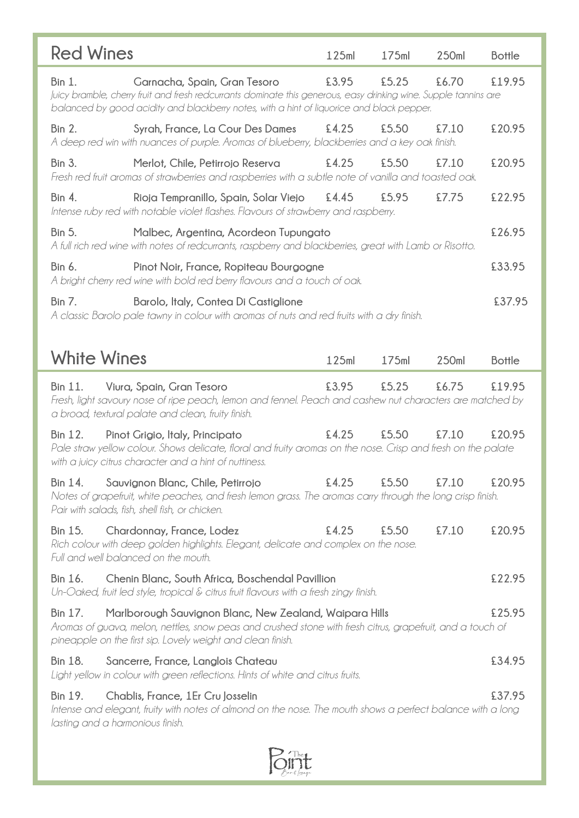| <b>Red Wines</b>                                       |                                                                                                                                                                                                                                               | 125ml | 175ml | 250ml | <b>Bottle</b> |
|--------------------------------------------------------|-----------------------------------------------------------------------------------------------------------------------------------------------------------------------------------------------------------------------------------------------|-------|-------|-------|---------------|
| <b>Bin 1.</b>                                          | Garnacha, Spain, Gran Tesoro<br>Juicy bramble, cherry fruit and fresh redcurrants dominate this generous, easy drinking wine. Supple tannins are<br>balanced by good acidity and blackberry notes, with a hint of liquorice and black pepper. | £3.95 | £5.25 | £6.70 | £19.95        |
| <b>Bin 2.</b>                                          | Syrah, France, La Cour Des Dames<br>A deep red win with nuances of purple. Aromas of blueberry, blackberries and a key oak finish.                                                                                                            | £4.25 | £5.50 | £7.10 | £20.95        |
| <b>Bin 3.</b>                                          | Merlot, Chile, Petirrojo Reserva<br>Fresh red fruit aromas of strawberries and raspberries with a subtle note of vanilla and toasted oak.                                                                                                     | £4.25 | £5.50 | £7.10 | £20.95        |
| <b>Bin 4.</b>                                          | Rioja Tempranillo, Spain, Solar Viejo<br>Intense ruby red with notable violet flashes. Flavours of strawberry and raspberry.                                                                                                                  | £4.45 | £5.95 | £7.75 | £22.95        |
| <b>Bin 5.</b>                                          | Malbec, Argentina, Acordeon Tupungato<br>A full rich red wine with notes of redcurrants, raspberry and blackberries, great with Lamb or Risotto.                                                                                              |       |       |       | £26.95        |
| Bin 6.                                                 | Pinot Noir, France, Ropiteau Bourgogne<br>A bright cherry red wine with bold red berry flavours and a touch of oak.                                                                                                                           |       |       |       | £33.95        |
| <b>Bin 7.</b>                                          | Barolo, Italy, Contea Di Castiglione<br>A classic Barolo pale tawny in colour with aromas of nuts and red fruits with a dry finish.                                                                                                           |       |       |       | £37.95        |
|                                                        |                                                                                                                                                                                                                                               |       |       |       |               |
| <b>White Wines</b>                                     |                                                                                                                                                                                                                                               | 125ml | 175ml | 250ml | <b>Bottle</b> |
| Bin 11.                                                | Viura, Spain, Gran Tesoro<br>Fresh, light savoury nose of ripe peach, lemon and fennel. Peach and cashew nut characters are matched by<br>a broad, textural palate and clean, fruity finish.                                                  | £3.95 | £5.25 | £6.75 | £19.95        |
| Bin 12.                                                | Pinot Grigio, Italy, Principato<br>Pale straw yellow colour. Shows delicate, floral and fruity aromas on the nose. Crisp and fresh on the palate<br>with a juicy citrus character and a hint of nuttiness.                                    | £4.25 | £5.50 | £7.10 | £20.95        |
| Bin 14.                                                | Sauvignon Blanc, Chile, Petirrojo<br>Notes of grapefruit, white peaches, and fresh lemon grass. The aromas carry through the long crisp finish.<br>Pair with salads, fish, shell fish, or chicken.                                            | £4.25 | £5.50 | £7.10 | £20.95        |
| <b>Bin 15.</b><br>Full and well balanced on the mouth. | Chardonnay, France, Lodez<br>Rich colour with deep golden highlights. Elegant, delicate and complex on the nose.                                                                                                                              | £4.25 | £5.50 | £7.10 | £20.95        |
| Bin 16.                                                | Chenin Blanc, South Africa, Boschendal Pavillion<br>Un-Oaked, fruit led style, tropical & citrus fruit flavours with a fresh zingy finish.                                                                                                    |       |       |       | £22.95        |
| Bin 17.                                                | Marlborough Sauvignon Blanc, New Zealand, Waipara Hills<br>Aromas of guava, melon, nettles, snow peas and crushed stone with fresh citrus, grapefruit, and a touch of<br>pineapple on the first sip. Lovely weight and clean finish.          |       |       |       | £25.95        |
| Bin 18.                                                | Sancerre, France, Langlois Chateau<br>Light yellow in colour with green reflections. Hints of white and citrus fruits.                                                                                                                        |       |       |       | £34.95        |
| Bin 19.<br>lasting and a harmonious finish.            | Chablis, France, 1Er Cru Josselin<br>Intense and elegant, fruity with notes of almond on the nose. The mouth shows a perfect balance with a long                                                                                              |       |       |       | £37.95        |

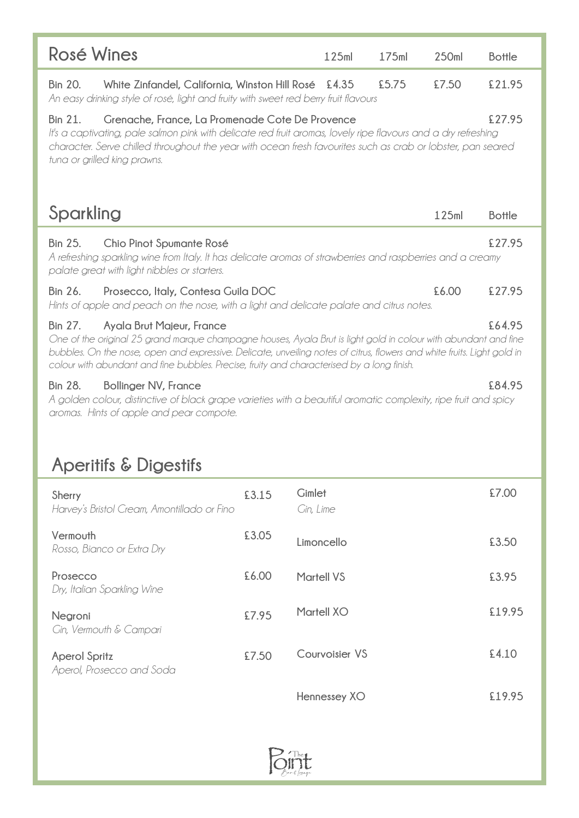| Rosé Wines                                                                                                                                                                                                                                                                                                                                                                              |       | 125ml                      | 175ml | 250ml | <b>Bottle</b> |
|-----------------------------------------------------------------------------------------------------------------------------------------------------------------------------------------------------------------------------------------------------------------------------------------------------------------------------------------------------------------------------------------|-------|----------------------------|-------|-------|---------------|
| White Zinfandel, California, Winston Hill Rosé £4.35<br><b>Bin 20.</b><br>An easy drinking style of rosé, light and fruity with sweet red berry fruit flavours                                                                                                                                                                                                                          |       |                            | £5.75 | £7.50 | £21.95        |
| Grenache, France, La Promenade Cote De Provence<br><b>Bin 21.</b><br>It's a captivating, pale salmon pink with delicate red fruit aromas, lovely ripe flavours and a dry refreshing<br>character. Serve chilled throughout the year with ocean fresh favourites such as crab or lobster, pan seared<br>tuna or grilled king prawns.                                                     |       |                            |       |       | £27.95        |
| Sparkling                                                                                                                                                                                                                                                                                                                                                                               |       |                            |       | 125ml | <b>Bottle</b> |
| <b>Bin 25.</b><br>Chio Pinot Spumante Rosé<br>A refreshing sparkling wine from Italy. It has delicate aromas of strawberries and raspberries and a creamy<br>palate great with light nibbles or starters.                                                                                                                                                                               |       |                            |       |       | £27.95        |
| <b>Bin 26.</b><br>Prosecco, Italy, Contesa Guila DOC<br>Hints of apple and peach on the nose, with a light and delicate palate and citrus notes.                                                                                                                                                                                                                                        |       |                            |       | £6.00 | £27.95        |
| <b>Bin 27.</b><br>Ayala Brut Majeur, France<br>One of the original 25 grand marque champagne houses, Ayala Brut is light gold in colour with abundant and fine<br>bubbles. On the nose, open and expressive. Delicate, unveiling notes of citrus, flowers and white fruits. Light gold in<br>colour with abundant and fine bubbles. Precise, fruity and characterised by a long finish. |       |                            |       |       | £64.95        |
| <b>Bin 28.</b><br><b>Bollinger NV, France</b><br>A golden colour, distinctive of black grape varieties with a beautiful aromatic complexity, ripe fruit and spicy<br>aromas. Hints of apple and pear compote.                                                                                                                                                                           |       |                            |       |       | £84.95        |
| <b>Aperitifs &amp; Digestifs</b>                                                                                                                                                                                                                                                                                                                                                        |       |                            |       |       |               |
| Sherry<br>Harvey's Bristol Cream, Amontillado or Fino                                                                                                                                                                                                                                                                                                                                   | £3.15 | <b>Gimlet</b><br>Gin, Lime |       |       | £7.00         |
| Vermouth<br>Rosso, Bianco or Extra Dry                                                                                                                                                                                                                                                                                                                                                  | £3.05 | Limoncello                 |       |       | £3.50         |
| Prosecco<br>Dry, Italian Sparkling Wine                                                                                                                                                                                                                                                                                                                                                 | £6.00 | <b>Martell VS</b>          |       |       | £3.95         |
| Negroni<br>Gin, Vermouth & Campari                                                                                                                                                                                                                                                                                                                                                      | £7.95 | Martell XO                 |       |       | £19.95        |
| <b>Aperol Spritz</b><br>Aperol, Prosecco and Soda                                                                                                                                                                                                                                                                                                                                       | £7.50 | Courvoisier VS             |       |       | £4.10         |
|                                                                                                                                                                                                                                                                                                                                                                                         |       | Hennessey XO               |       |       | £19.95        |

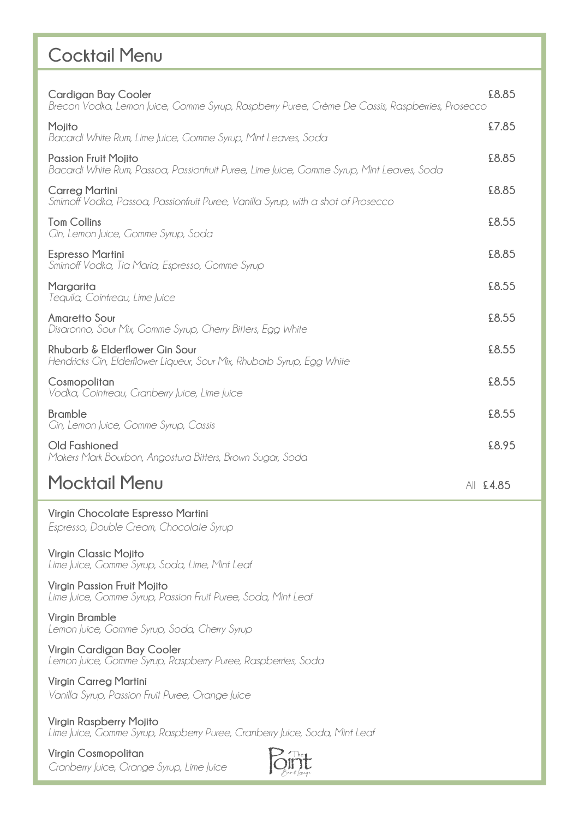## **Cocktail Menu**

| Cardigan Bay Cooler<br>Brecon Vodka, Lemon Juice, Gomme Syrup, Raspberry Puree, Crème De Cassis, Raspberries, Prosecco   | £8.85     |
|--------------------------------------------------------------------------------------------------------------------------|-----------|
| Mojito<br>Bacardi White Rum, Lime Juice, Gomme Syrup, Mint Leaves, Soda                                                  | £7.85     |
| <b>Passion Fruit Moiito</b><br>Bacardi White Rum, Passoa, Passionfruit Puree, Lime Juice, Gomme Syrup, Mint Leaves, Soda | £8.85     |
| <b>Carreg Martini</b><br>Smirnoff Vodka, Passoa, Passionfruit Puree, Vanilla Syrup, with a shot of Prosecco              | £8.85     |
| <b>Tom Collins</b><br>Gin, Lemon Juice, Gomme Syrup, Soda                                                                | £8.55     |
| <b>Espresso Martini</b><br>Smirnoff Vodka, Tia Maria, Espresso, Gomme Syrup                                              | £8.85     |
| Margarita<br>Tequila, Cointreau, Lime Juice                                                                              | £8.55     |
| <b>Amaretto Sour</b><br>Disaronno, Sour Mix, Gomme Syrup, Cherry Bitters, Egg White                                      | £8.55     |
| Rhubarb & Elderflower Gin Sour<br>Hendricks Gin, Elderflower Liqueur, Sour Mix, Rhubarb Syrup, Egg White                 | £8.55     |
| Cosmopolitan<br>Vodka, Cointreau, Cranberry Juice, Lime Juice                                                            | £8.55     |
| <b>Bramble</b><br>Gin, Lemon Juice, Gomme Syrup, Cassis                                                                  | £8.55     |
| Old Fashioned<br>Makers Mark Bourbon, Angostura Bitters, Brown Sugar, Soda                                               | £8.95     |
| <b>Mocktail Menu</b>                                                                                                     | All £4.85 |
| Virgin Chocolate Espresso Martini<br>Espresso, Double Cream, Chocolate Syrup                                             |           |
| Virgin Classic Mojito                                                                                                    |           |

**Virgin Classic Mojito**  *Lime Juice, Gomme Syrup, Soda, Lime, Mint Leaf*

**Virgin Passion Fruit Mojito** *Lime Juice, Gomme Syrup, Passion Fruit Puree, Soda, Mint Leaf*

**Virgin Bramble** *Lemon Juice, Gomme Syrup, Soda, Cherry Syrup*

**Virgin Cardigan Bay Cooler** *Lemon Juice, Gomme Syrup, Raspberry Puree, Raspberries, Soda*

**Virgin Carreg Martini** *Vanilla Syrup, Passion Fruit Puree, Orange Juice*

**Virgin Raspberry Mojito** *Lime Juice, Gomme Syrup, Raspberry Puree, Cranberry Juice, Soda, Mint Leaf*

**Virgin Cosmopolitan** *Cranberry Juice, Orange Syrup, Lime Juice*

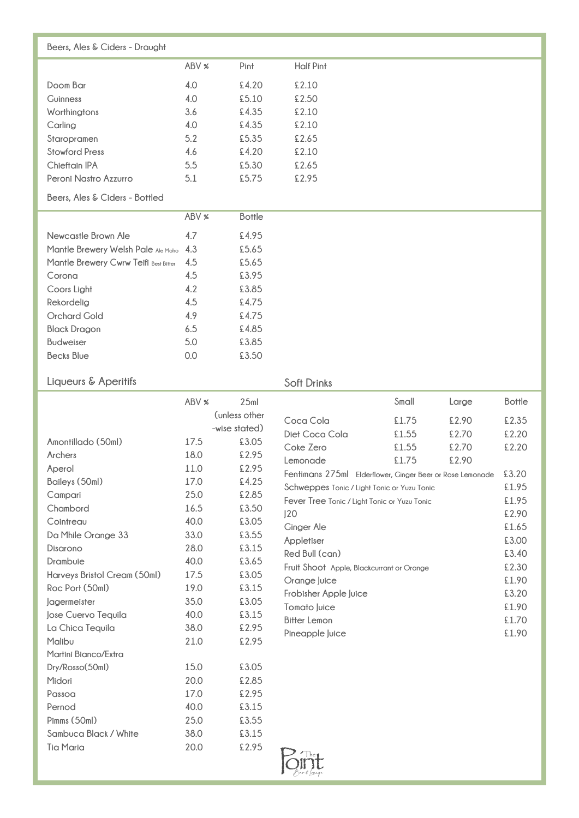| Beers, Ales & Ciders - Draught        |       |               |                    |       |       |               |
|---------------------------------------|-------|---------------|--------------------|-------|-------|---------------|
|                                       |       |               |                    |       |       |               |
|                                       | ABV % | Pint          | <b>Half Pint</b>   |       |       |               |
| Doom Bar                              | 4.0   | £4.20         | £2.10              |       |       |               |
| Guinness                              | 4.0   | £5.10         | £2.50              |       |       |               |
| Worthingtons                          | 3.6   | £4.35         | £2.10              |       |       |               |
| Carling                               | 4.0   | £4.35         | £2.10              |       |       |               |
| Staropramen                           | 5.2   | £5.35         | £2.65              |       |       |               |
| <b>Stowford Press</b>                 | 4.6   | £4.20         | £2.10              |       |       |               |
| Chieftain IPA                         | 5.5   | £5.30         | £2.65              |       |       |               |
| Peroni Nastro Azzurro                 | 5.1   | £5.75         | £2.95              |       |       |               |
| Beers, Ales & Ciders - Bottled        |       |               |                    |       |       |               |
|                                       | ABV % | <b>Bottle</b> |                    |       |       |               |
| Newcastle Brown Ale                   | 4.7   | £4.95         |                    |       |       |               |
| Mantle Brewery Welsh Pale Ale Moho    | 4.3   | £5.65         |                    |       |       |               |
| Mantle Brewery Cwrw Teifi Best Bitter | 4.5   | £5.65         |                    |       |       |               |
| Corona                                | 4.5   | £3.95         |                    |       |       |               |
| Coors Light                           | 4.2   | £3.85         |                    |       |       |               |
| Rekordelig                            | 4.5   | £4.75         |                    |       |       |               |
| <b>Orchard Gold</b>                   | 4.9   | £4.75         |                    |       |       |               |
| <b>Black Dragon</b>                   | 6.5   | £4.85         |                    |       |       |               |
| <b>Budweiser</b>                      | 5.0   | £3.85         |                    |       |       |               |
| <b>Becks Blue</b>                     | 0.0   | £3.50         |                    |       |       |               |
| Liqueurs & Aperitifs                  |       |               | <b>Soft Drinks</b> |       |       |               |
|                                       | ABV % | 25ml          |                    | Small | Large | <b>Bottle</b> |
|                                       |       | (unless other | Coca Cola          | £1.75 | £2.90 | £2.35         |
|                                       |       | -wise stated) | Diet Coca Cola     | £1.55 | £2.70 | £2.20         |
| Amontillado (50ml)                    | 17.5  | £3.05         | Coke Zero          | £1.55 | £2.70 | £2.20         |

| Amontillado (50ml)           | 17.5 | £3.05 |
|------------------------------|------|-------|
| Archers                      | 18.0 | £2.95 |
| Aperol                       | 11.0 | £2.95 |
| Baileys (50ml)               | 17.0 | £4.25 |
| Campari                      | 25.0 | £2.85 |
| Chambord                     | 16.5 | £3.50 |
| Cointreau                    | 40.0 | £3.05 |
| Da Mhile Orange 33           | 33.0 | £3.55 |
| Disarono                     | 28.0 | £3.15 |
| Drambuie                     | 40.0 | £3.65 |
| Harveys Bristol Cream (50ml) | 17.5 | £3.05 |
| Roc Port (50ml)              | 19.0 | £3.15 |
| lagermeister                 | 35.0 | £3.05 |
| Jose Cuervo Tequila          | 40.0 | £3.15 |
| La Chica Tequila             | 38.0 | £2.95 |
| Malibu                       | 21.0 | £2.95 |
| Martini Bianco/Extra         |      |       |
| Dry/Rosso(50ml)              | 15.0 | £3.05 |
| Midori                       | 20.0 | £2.85 |
| Passoa                       | 17.0 | £2.95 |
| Pernod                       | 40.0 | £3.15 |
| Pimms (50ml)                 | 25.0 | £3.55 |
| Sambuca Black / White        | 38.0 | £3.15 |
| <b>Tia Maria</b>             | 20.0 | £2.95 |

|                                                           | Small | Large | <b>Bottle</b> |
|-----------------------------------------------------------|-------|-------|---------------|
| Coca Cola                                                 | £1.75 | £2.90 | £2.35         |
| Diet Coca Cola                                            | £1.55 | £2.70 | £2.20         |
| Coke Zero                                                 | £1.55 | £2.70 | £2.20         |
| Lemonade                                                  | £1.75 | £2.90 |               |
| Fentimans 275ml Elderflower, Ginger Beer or Rose Lemonade |       |       | £3.20         |
| Schweppes Tonic / Light Tonic or Yuzu Tonic               |       |       | £1.95         |
| Fever Tree Tonic / Light Tonic or Yuzu Tonic              |       |       | £1.95         |
| 120                                                       |       |       | £2.90         |
| Ginger Ale                                                |       |       | £1.65         |
| Appletiser                                                |       |       | £3.00         |
| Red Bull (can)                                            |       |       | £3.40         |
| Fruit Shoot Apple, Blackcurrant or Orange                 |       |       | £2.30         |
| Orange Juice                                              |       |       | £1.90         |
| Frobisher Apple Juice                                     |       |       | £3.20         |
| Tomato luice                                              |       |       | £1.90         |
| Bitter Lemon                                              |       |       | £1.70         |
| Pineapple Juice                                           |       |       | £1.90         |
|                                                           |       |       |               |